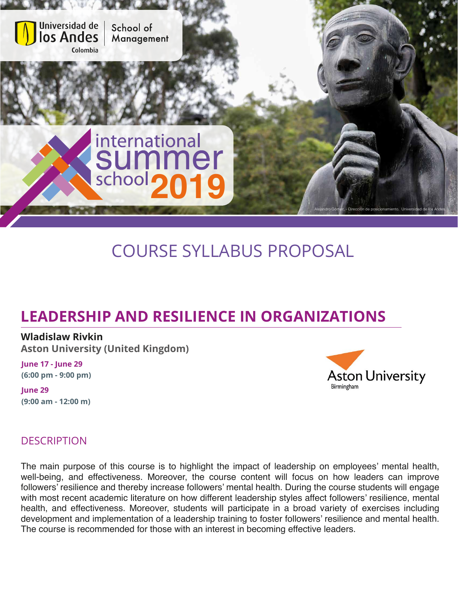

# COURSE SYLLABUS PROPOSAL

## **LEADERSHIP AND RESILIENCE IN ORGANIZATIONS**

#### **Wladislaw Rivkin**

**Aston University (United Kingdom)**

**June 17 - June 29 (6:00 pm - 9:00 pm)**

**June 29 (9:00 am - 12:00 m)**



### **DESCRIPTION**

The main purpose of this course is to highlight the impact of leadership on employees' mental health, well-being, and effectiveness. Moreover, the course content will focus on how leaders can improve followers' resilience and thereby increase followers' mental health. During the course students will engage with most recent academic literature on how different leadership styles affect followers' resilience, mental health, and effectiveness. Moreover, students will participate in a broad variety of exercises including development and implementation of a leadership training to foster followers' resilience and mental health. The course is recommended for those with an interest in becoming effective leaders.